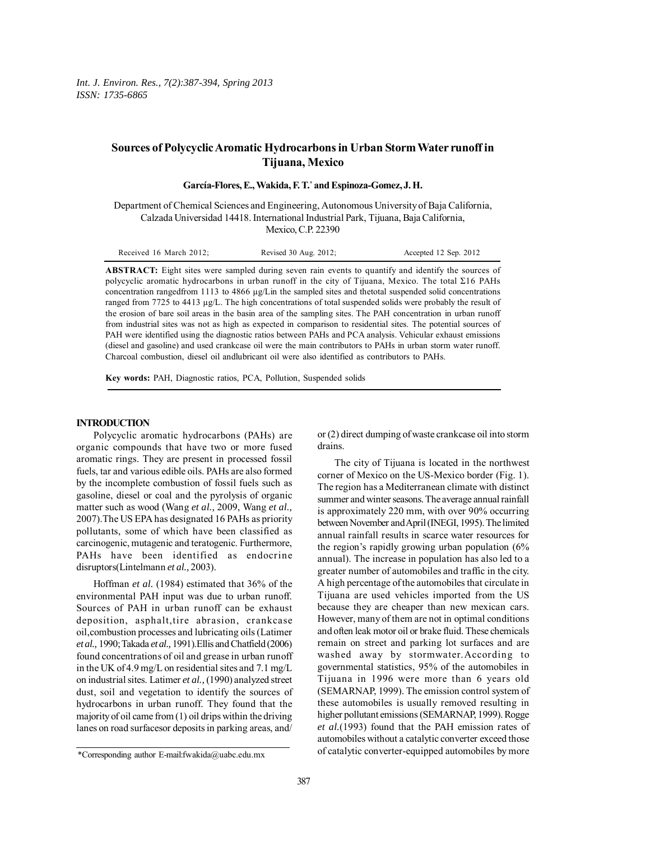# **Sources of Polycyclic Aromatic Hydrocarbons in Urban Storm Water runoff in Tijuana, Mexico**

**García-Flores, E., Wakida, F. T.\* and Espinoza-Gomez, J. H.**

Department of Chemical Sciences and Engineering, Autonomous University of Baja California, Calzada Universidad 14418. International Industrial Park, Tijuana, Baja California, Mexico, C.P. 22390

| Accepted 12 Sep. 2012<br>Received 16 March 2012;<br>Revised 30 Aug. 2012; |
|---------------------------------------------------------------------------|
|---------------------------------------------------------------------------|

**ABSTRACT:** Eight sites were sampled during seven rain events to quantify and identify the sources of polycyclic aromatic hydrocarbons in urban runoff in the city of Tijuana, Mexico. The total Σ16 PAHs concentration rangedfrom 1113 to 4866 µg/Lin the sampled sites and thetotal suspended solid concentrations ranged from 7725 to 4413 µg/L. The high concentrations of total suspended solids were probably the result of the erosion of bare soil areas in the basin area of the sampling sites. The PAH concentration in urban runoff from industrial sites was not as high as expected in comparison to residential sites. The potential sources of PAH were identified using the diagnostic ratios between PAHs and PCA analysis. Vehicular exhaust emissions (diesel and gasoline) and used crankcase oil were the main contributors to PAHs in urban storm water runoff. Charcoal combustion, diesel oil andlubricant oil were also identified as contributors to PAHs.

**Key words:** PAH, Diagnostic ratios, PCA, Pollution, Suspended solids

#### **INTRODUCTION**

Polycyclic aromatic hydrocarbons (PAHs) are organic compounds that have two or more fused aromatic rings. They are present in processed fossil fuels, tar and various edible oils. PAHs are also formed by the incomplete combustion of fossil fuels such as gasoline, diesel or coal and the pyrolysis of organic matter such as wood (Wang *et al.,* 2009, Wang *et al.,* 2007).The US EPA has designated 16 PAHs as priority pollutants, some of which have been classified as carcinogenic, mutagenic and teratogenic. Furthermore, PAHs have been identified as endocrine disruptors(Lintelmann *et al.,* 2003).

Hoffman *et al.* (1984) estimated that 36% of the environmental PAH input was due to urban runoff. Sources of PAH in urban runoff can be exhaust deposition, asphalt,tire abrasion, crankcase oil,combustion processes and lubricating oils (Latimer *et al.,* 1990; Takada *et al.,* 1991).Ellis and Chatfield (2006) found concentrations of oil and grease in urban runoff in the UK of 4.9 mg/L on residential sites and 7.1 mg/L on industrial sites. Latimer *et al.,* (1990) analyzed street dust, soil and vegetation to identify the sources of hydrocarbons in urban runoff. They found that the majority of oil came from (1) oil drips within the driving lanes on road surfacesor deposits in parking areas, and/

or (2) direct dumping of waste crankcase oil into storm drains.

The city of Tijuana is located in the northwest corner of Mexico on the US-Mexico border (Fig. 1). The region has a Mediterranean climate with distinct summer and winter seasons. The average annual rainfall is approximately 220 mm, with over 90% occurring between November and April (INEGI, 1995). The limited annual rainfall results in scarce water resources for the region's rapidly growing urban population (6% annual). The increase in population has also led to a greater number of automobiles and traffic in the city. A high percentage of the automobiles that circulate in Tijuana are used vehicles imported from the US because they are cheaper than new mexican cars. However, many of them are not in optimal conditions and often leak motor oil or brake fluid. These chemicals remain on street and parking lot surfaces and are washed away by stormwater.According to governmental statistics, 95% of the automobiles in Tijuana in 1996 were more than 6 years old (SEMARNAP, 1999). The emission control system of these automobiles is usually removed resulting in higher pollutant emissions (SEMARNAP, 1999). Rogge *et al.*(1993) found that the PAH emission rates of automobiles without a catalytic converter exceed those of catalytic converter-equipped automobiles by more

<sup>\*</sup>Corresponding author E-mail:fwakida@uabc.edu.mx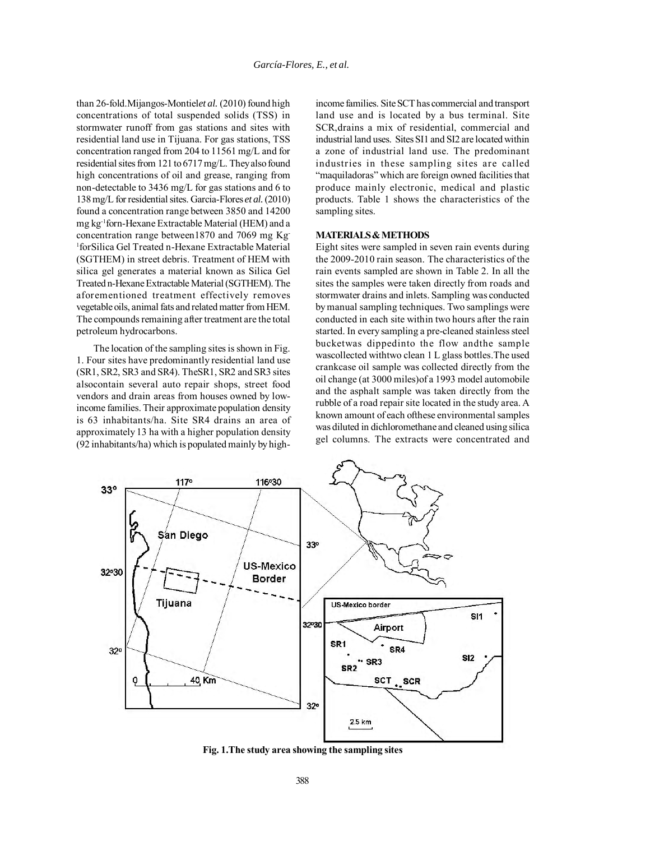than 26-fold.Mijangos-Montiel*et al.* (2010) found high concentrations of total suspended solids (TSS) in stormwater runoff from gas stations and sites with residential land use in Tijuana. For gas stations, TSS concentration ranged from 204 to 11561 mg/L and for residential sites from 121 to 6717 mg/L. They also found high concentrations of oil and grease, ranging from non-detectable to 3436 mg/L for gas stations and 6 to 138 mg/L for residential sites. Garcia-Flores *et al.* (2010) found a concentration range between 3850 and 14200 mg kg-1forn-Hexane Extractable Material (HEM) and a concentration range between1870 and 7069 mg Kg-1 forSilica Gel Treated n-Hexane Extractable Material (SGTHEM) in street debris. Treatment of HEM with silica gel generates a material known as Silica Gel Treated n-Hexane Extractable Material (SGTHEM). The aforementioned treatment effectively removes vegetable oils, animal fats and related matter from HEM. The compounds remaining after treatment are the total petroleum hydrocarbons.

The location of the sampling sites is shown in Fig. 1. Four sites have predominantly residential land use (SR1, SR2, SR3 and SR4). TheSR1, SR2 and SR3 sites alsocontain several auto repair shops, street food vendors and drain areas from houses owned by lowincome families. Their approximate population density is 63 inhabitants/ha. Site SR4 drains an area of approximately 13 ha with a higher population density (92 inhabitants/ha) which is populated mainly by high-

income families. Site SCT has commercial and transport land use and is located by a bus terminal. Site SCR,drains a mix of residential, commercial and industrial land uses. Sites SI1 and SI2 are located within a zone of industrial land use. The predominant industries in these sampling sites are called "maquiladoras" which are foreign owned facilities that produce mainly electronic, medical and plastic products. Table 1 shows the characteristics of the sampling sites.

## **MATERIALS & METHODS**

Eight sites were sampled in seven rain events during the 2009-2010 rain season. The characteristics of the rain events sampled are shown in Table 2. In all the sites the samples were taken directly from roads and stormwater drains and inlets. Sampling was conducted by manual sampling techniques. Two samplings were conducted in each site within two hours after the rain started. In every sampling a pre-cleaned stainless steel bucketwas dippedinto the flow andthe sample wascollected withtwo clean 1 L glass bottles.The used crankcase oil sample was collected directly from the oil change (at 3000 miles)of a 1993 model automobile and the asphalt sample was taken directly from the rubble of a road repair site located in the study area. A known amount of each ofthese environmental samples was diluted in dichloromethane and cleaned using silica gel columns. The extracts were concentrated and



**Fig. 1.The study area showing the sampling sites**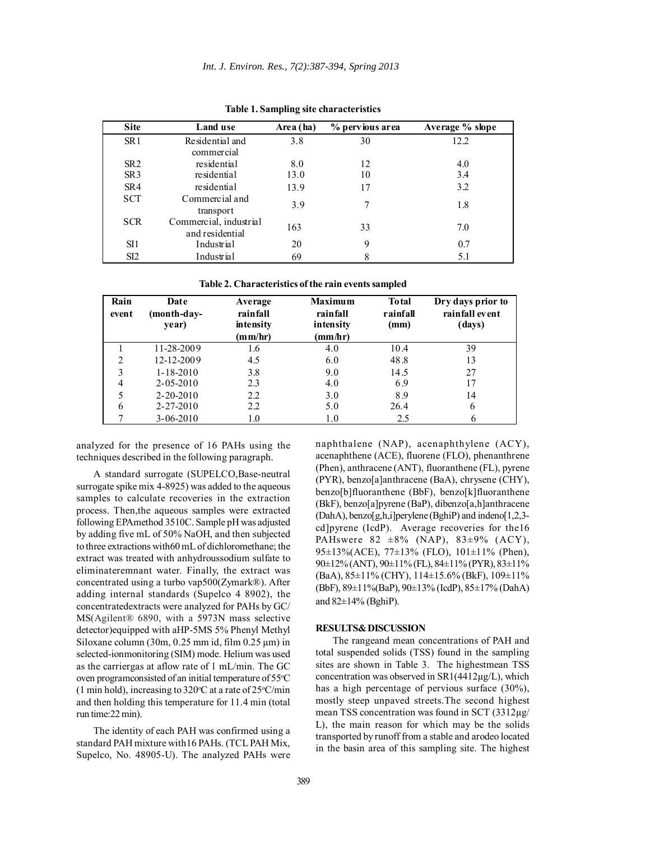| <b>Site</b>     | Land use                                  | Area (ha) | % pervious area | Average % slope |
|-----------------|-------------------------------------------|-----------|-----------------|-----------------|
| SR <sub>1</sub> | Residential and<br>commercial             | 3.8       | 30              | 12.2            |
| SR <sub>2</sub> | residential                               | 8.0       | 12              | 4.0             |
| SR <sub>3</sub> | residential                               | 13.0      | 10              | 3.4             |
| SR4             | residential                               | 13.9      | 17              | 3.2             |
| <b>SCT</b>      | Commercial and<br>transport               | 3.9       | 7               | 1.8             |
| <b>SCR</b>      | Commercial, industrial<br>and residential | 163       | 33              | 7.0             |
| SI1             | Industrial                                | 20        | 9               | 0.7             |
| SI <sub>2</sub> | Industrial                                | 69        | 8               | 5.1             |

**Table 1. Sampling site characteristics**

**Table 2. Characteristics of the rain events sampled**

| Rain<br>event | Date<br>month-day-)<br>year) | Average<br>rainfall<br>intensity<br>(mm/hr) | <b>Maximum</b><br>rainfall<br>intensity<br>(mm/hr) | <b>To tal</b><br>rainfall<br>(mm) | Dry days prior to<br>rainfall event<br>(days) |
|---------------|------------------------------|---------------------------------------------|----------------------------------------------------|-----------------------------------|-----------------------------------------------|
|               | 11-28-2009                   | 1.6                                         | 4.0                                                | 10.4                              | 39                                            |
| າ             | 12-12-2009                   | 4.5                                         | 6.0                                                | 48.8                              | 13                                            |
| 3             | $1 - 18 - 2010$              | 3.8                                         | 9.0                                                | 14.5                              | 27                                            |
| 4             | $2 - 05 - 2010$              | 2.3                                         | 4.0                                                | 6.9                               | 17                                            |
|               | $2 - 20 - 2010$              | 2.2                                         | 3.0                                                | 8.9                               | 14                                            |
| 6             | $2 - 27 - 2010$              | 2.2                                         | 5.0                                                | 26.4                              | 6                                             |
|               | $3 - 06 - 2010$              | 1.0                                         | 1.0                                                | 2.5                               |                                               |

analyzed for the presence of 16 PAHs using the techniques described in the following paragraph.

A standard surrogate (SUPELCO,Base-neutral surrogate spike mix 4-8925) was added to the aqueous samples to calculate recoveries in the extraction process. Then,the aqueous samples were extracted following EPAmethod 3510C. Sample pH was adjusted by adding five mL of 50% NaOH, and then subjected to three extractions with60 mL of dichloromethane; the extract was treated with anhydroussodium sulfate to eliminateremnant water. Finally, the extract was concentrated using a turbo vap500(Zymark®). After adding internal standards (Supelco 4 8902), the concentratedextracts were analyzed for PAHs by GC/ MS(Agilent® 6890, with a 5973N mass selective detector)equipped with aHP-5MS 5% Phenyl Methyl Siloxane column (30m,  $0.25$  mm id, film  $0.25$  µm) in selected-ionmonitoring (SIM) mode. Helium was used as the carriergas at aflow rate of 1 mL/min. The GC oven programconsisted of an initial temperature of 55°C (1 min hold), increasing to  $320^{\circ}$ C at a rate of  $25^{\circ}$ C/min and then holding this temperature for 11.4 min (total run time:22 min).

The identity of each PAH was confirmed using a standard PAH mixture with16 PAHs. (TCL PAH Mix, Supelco, No. 48905-U). The analyzed PAHs were naphthalene (NAP), acenaphthylene (ACY), acenaphthene (ACE), fluorene (FLO), phenanthrene (Phen), anthracene (ANT), fluoranthene (FL), pyrene (PYR), benzo[a]anthracene (BaA), chrysene (CHY), benzo[b]fluoranthene (BbF), benzo[k]fluoranthene (BkF), benzo[a]pyrene (BaP), dibenzo[a,h]anthracene (DahA), benzo[g,h,i]perylene (BghiP) and indeno[1,2,3 cd]pyrene (IcdP). Average recoveries for the16 PAHswere 82  $\pm 8\%$  (NAP), 83 $\pm 9\%$  (ACY), 95±13%(ACE), 77±13% (FLO), 101±11% (Phen), 90±12% (ANT), 90±11% (FL), 84±11% (PYR), 83±11% (BaA), 85±11% (CHY), 114±15.6% (BkF), 109±11% (BbF), 89±11%(BaP), 90±13% (IcdP), 85±17% (DahA) and 82±14% (BghiP).

### **RESULTS& DISCUSSION**

The rangeand mean concentrations of PAH and total suspended solids (TSS) found in the sampling sites are shown in Table 3. The highestmean TSS concentration was observed in SR1(4412µg/L), which has a high percentage of pervious surface (30%), mostly steep unpaved streets.The second highest mean TSS concentration was found in SCT (3312µg/ L), the main reason for which may be the solids transported by runoff from a stable and arodeo located in the basin area of this sampling site. The highest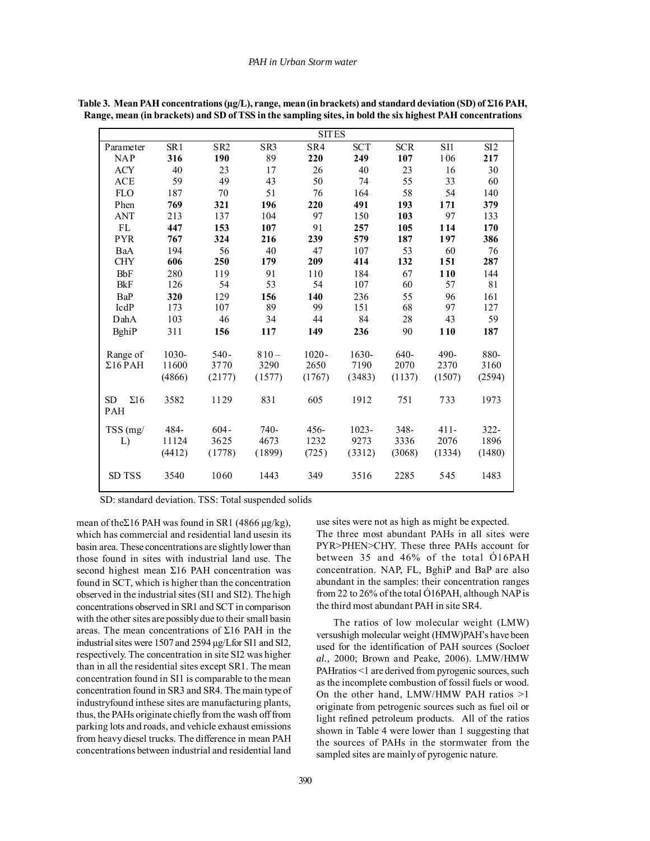|                                       |                 |                 |                 | <b>SITES</b> |            |            |         |         |
|---------------------------------------|-----------------|-----------------|-----------------|--------------|------------|------------|---------|---------|
| Parameter                             | SR <sub>1</sub> | SR <sub>2</sub> | SR <sub>3</sub> | SR4          | <b>SCT</b> | <b>SCR</b> | SI1     | SI2     |
| <b>NAP</b>                            | 316             | 190             | 89              | 220          | 249        | 107        | 106     | 217     |
| <b>ACY</b>                            | 40              | 23              | 17              | 26           | 40         | 23         | 16      | 30      |
| <b>ACE</b>                            | 59              | 49              | 43              | 50           | 74         | 55         | 33      | 60      |
| <b>FLO</b>                            | 187             | 70              | 51              | 76           | 164        | 58         | 54      | 140     |
| Phen                                  | 769             | 321             | 196             | 220          | 491        | 193        | 171     | 379     |
| <b>ANT</b>                            | 213             | 137             | 104             | 97           | 150        | 103        | 97      | 133     |
| FL                                    | 447             | 153             | 107             | 91           | 257        | 105        | 114     | 170     |
| <b>PYR</b>                            | 767             | 324             | 216             | 239          | 579        | 187        | 197     | 386     |
| BaA                                   | 194             | 56              | 40              | 47           | 107        | 53         | 60      | 76      |
| <b>CHY</b>                            | 606             | 250             | 179             | 209          | 414        | 132        | 151     | 287     |
| <b>BbF</b>                            | 280             | 119             | 91              | 110          | 184        | 67         | 110     | 144     |
| <b>BkF</b>                            | 126             | 54              | 53              | 54           | 107        | 60         | 57      | 81      |
| BaP                                   | 320             | 129             | 156             | 140          | 236        | 55         | 96      | 161     |
| IcdP                                  | 173             | 107             | 89              | 99           | 151        | 68         | 97      | 127     |
| DahA                                  | 103             | 46              | 34              | 44           | 84         | 28         | 43      | 59      |
| BghiP                                 | 311             | 156             | 117             | 149          | 236        | 90         | 110     | 187     |
| Range of                              | 1030-           | $540 -$         | $810 -$         | $1020 -$     | $1630-$    | 640-       | 490-    | 880-    |
| $\Sigma16$ PAH                        | 11600           | 3770            | 3290            | 2650         | 7190       | 2070       | 2370    | 3160    |
|                                       | (4866)          | (2177)          | (1577)          | (1767)       | (3483)     | (1137)     | (1507)  | (2594)  |
| $\Sigma16$<br><b>SD</b><br><b>PAH</b> | 3582            | 1129            | 831             | 605          | 1912       | 751        | 733     | 1973    |
| TSS(mg)                               | 484-            | $604 -$         | $740-$          | $456 -$      | $1023 -$   | $348 -$    | $411 -$ | $322 -$ |
| L)                                    | 11124           | 3625            | 4673            | 1232         | 9273       | 3336       | 2076    | 1896    |
|                                       | (4412)          | (1778)          | (1899)          | (725)        | (3312)     | (3068)     | (1334)  | (1480)  |
| SD TSS                                | 3540            | 1060            | 1443            | 349          | 3516       | 2285       | 545     | 1483    |

390

**Table 3. Mean PAH concentrations (µg/L), range, mean (in brackets) and standard deviation (SD) of Σ16 PAH, Range, mean (in brackets) and SD of TSS in the sampling sites, in bold the six highest PAH concentrations**

SD: standard deviation. TSS: Total suspended solids

mean of the Σ16 PAH was found in SR1 (4866  $\mu$ g/kg), which has commercial and residential land usesin its basin area. These concentrations are slightly lower than those found in sites with industrial land use. The second highest mean Σ16 PAH concentration was found in SCT, which is higher than the concentration observed in the industrial sites (SI1 and SI2). The high concentrations observed in SR1 and SCT in comparison with the other sites are possibly due to their small basin areas. The mean concentrations of Σ16 PAH in the industrial sites were 1507 and 2594 µg/Lfor SI1 and SI2, respectively. The concentration in site SI2 was higher than in all the residential sites except SR1. The mean concentration found in SI1 is comparable to the mean concentration found in SR3 and SR4. The main type of industryfound inthese sites are manufacturing plants, thus, the PAHs originate chiefly from the wash off from parking lots and roads, and vehicle exhaust emissions from heavy diesel trucks. The difference in mean PAH concentrations between industrial and residential land use sites were not as high as might be expected. The three most abundant PAHs in all sites were PYR>PHEN>CHY. These three PAHs account for

between 35 and 46% of the total Ó16PAH concentration. NAP, FL, BghiP and BaP are also abundant in the samples: their concentration ranges from 22 to 26% of the total Ó16PAH, although NAP is the third most abundant PAH in site SR4.

The ratios of low molecular weight (LMW) versushigh molecular weight (HMW)PAH's have been used for the identification of PAH sources (Soclo*et al.,* 2000; Brown and Peake, 2006). LMW/HMW PAHratios <1 are derived from pyrogenic sources, such as the incomplete combustion of fossil fuels or wood. On the other hand, LMW/HMW PAH ratios >1 originate from petrogenic sources such as fuel oil or light refined petroleum products. All of the ratios shown in Table 4 were lower than 1 suggesting that the sources of PAHs in the stormwater from the sampled sites are mainly of pyrogenic nature.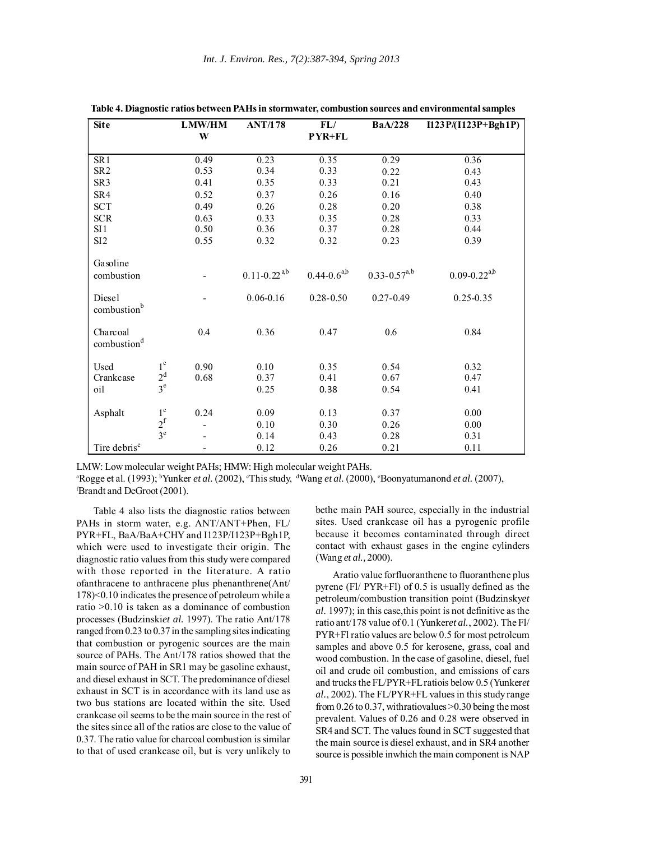| <b>Site</b>                         |                | <b>LMW/HM</b><br>W | <b>ANT/178</b><br>FL/<br><b>PYR+FL</b> |                    | <b>BaA/228</b>      | $I123P/(I123P+Bgh1P)$ |  |
|-------------------------------------|----------------|--------------------|----------------------------------------|--------------------|---------------------|-----------------------|--|
|                                     |                |                    |                                        |                    |                     |                       |  |
| SR <sub>1</sub>                     |                | 0.49               | 0.23                                   | 0.35               | 0.29                | 0.36                  |  |
| ${\sf SR2}$                         |                | 0.53               | 0.34                                   | 0.33               | 0.22                | 0.43                  |  |
| SR <sub>3</sub>                     |                | 0.41               | 0.35                                   | 0.33               | 0.21                | 0.43                  |  |
| SR4                                 |                | 0.52               | 0.37                                   | 0.26               | 0.16                | 0.40                  |  |
| <b>SCT</b>                          |                | 0.49               | 0.26                                   | 0.28               | 0.20                | 0.38                  |  |
| <b>SCR</b>                          |                | 0.63               | 0.33                                   | 0.35               | 0.28                | 0.33                  |  |
| SI1                                 |                | 0.50               | 0.36                                   | 0.37               | 0.28                | 0.44                  |  |
| SI2                                 |                | 0.55               | 0.32                                   | 0.32               | 0.23                | 0.39                  |  |
| Gasoline                            |                |                    |                                        |                    |                     |                       |  |
| combustion                          |                |                    | $0.11 - 0.22$ <sup>ab</sup>            | $0.44 - 0.6^{a,b}$ | $0.33 - 0.57^{a,b}$ | $0.09 - 0.22^{a,b}$   |  |
| Diesel<br>combustionb               |                |                    | $0.06 - 0.16$                          | $0.28 - 0.50$      | $0.27 - 0.49$       | $0.25 - 0.35$         |  |
| Charcoal<br>combustion <sup>d</sup> |                | 0.4                | 0.36                                   | 0.47               | 0.6                 | 0.84                  |  |
| Used                                | $1^{\circ}$    | 0.90               | 0.10                                   | 0.35               | 0.54                | 0.32                  |  |
| Crankcase                           | 2 <sup>d</sup> | 0.68               | 0.37                                   | 0.41               | 0.67                | 0.47                  |  |
| oil                                 | $3^e$          |                    | 0.25                                   | 0.38               | 0.54                | 0.41                  |  |
| Asphalt                             | $1^{\circ}$    | 0.24               | 0.09                                   | 0.13               | 0.37                | 0.00                  |  |
|                                     | $2^f$          |                    | 0.10                                   | 0.30               | 0.26                | 0.00                  |  |
|                                     | 3 <sup>e</sup> |                    | 0.14                                   | 0.43               | 0.28                | 0.31                  |  |
| Tire debris <sup>e</sup>            |                |                    | 0.12                                   | 0.26               | 0.21                | 0.11                  |  |

**Table 4. Diagnostic ratios between PAHs in stormwater, combustion sources and environmental samples**

LMW: Low molecular weight PAHs; HMW: High molecular weight PAHs.

<sup>a</sup>Rogge et al. (1993); <sup>b</sup>Yunker *et al.* (2002), *°*This study, <sup>d</sup>Wang *et al.* (2000), *°Boonyatumanond et al.* (2007), f Brandt and DeGroot (2001).

Table 4 also lists the diagnostic ratios between PAHs in storm water, e.g. ANT/ANT+Phen, FL/ PYR+FL, BaA/BaA+CHY and I123P/I123P+Bgh1P, which were used to investigate their origin. The diagnostic ratio values from this study were compared with those reported in the literature. A ratio ofanthracene to anthracene plus phenanthrene(Ant/ 178)<0.10 indicates the presence of petroleum while a ratio >0.10 is taken as a dominance of combustion processes (Budzinski*et al.* 1997). The ratio Ant/178 ranged from 0.23 to 0.37 in the sampling sites indicating that combustion or pyrogenic sources are the main source of PAHs. The Ant/178 ratios showed that the main source of PAH in SR1 may be gasoline exhaust, and diesel exhaust in SCT. The predominance of diesel exhaust in SCT is in accordance with its land use as two bus stations are located within the site. Used crankcase oil seems to be the main source in the rest of the sites since all of the ratios are close to the value of 0.37. The ratio value for charcoal combustion is similar to that of used crankcase oil, but is very unlikely to bethe main PAH source, especially in the industrial sites. Used crankcase oil has a pyrogenic profile because it becomes contaminated through direct contact with exhaust gases in the engine cylinders (Wang *et al.,* 2000).

Aratio value forfluoranthene to fluoranthene plus pyrene (Fl/ PYR+Fl) of 0.5 is usually defined as the petroleum/combustion transition point (Budzinsky*et al.* 1997); in this case,this point is not definitive as the ratio ant/178 value of 0.1 (Yunker*et al.*, 2002). The Fl/ PYR+Fl ratio values are below 0.5 for most petroleum samples and above 0.5 for kerosene, grass, coal and wood combustion. In the case of gasoline, diesel, fuel oil and crude oil combustion, and emissions of cars and trucks the FL/PYR+FL ratiois below 0.5 (Yunker*et al.*, 2002). The FL/PYR+FL values in this study range from 0.26 to 0.37, withratiovalues >0.30 being the most prevalent. Values of 0.26 and 0.28 were observed in SR4 and SCT. The values found in SCT suggested that the main source is diesel exhaust, and in SR4 another source is possible inwhich the main component is NAP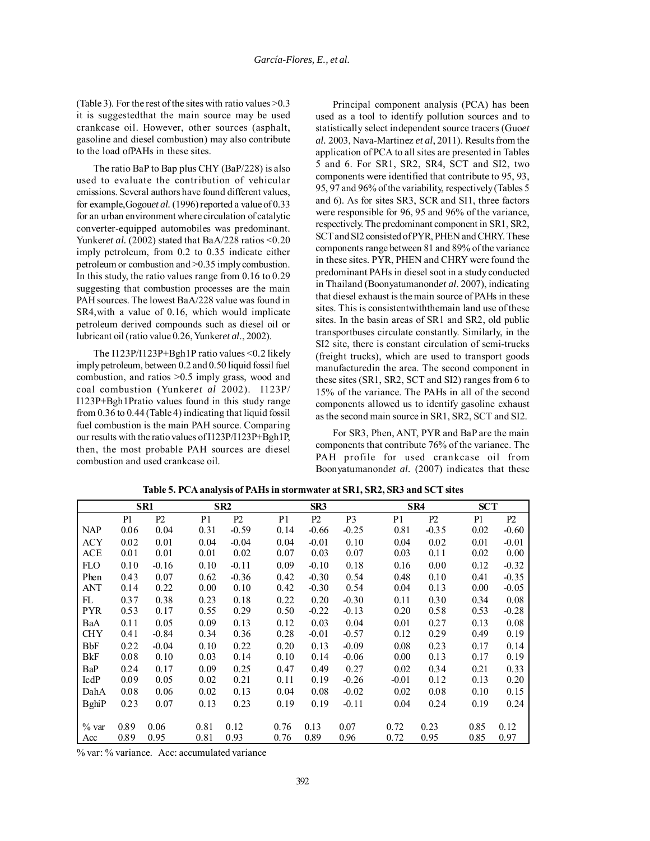(Table 3). For the rest of the sites with ratio values  $>0.3$ it is suggestedthat the main source may be used crankcase oil. However, other sources (asphalt, gasoline and diesel combustion) may also contribute to the load ofPAHs in these sites.

The ratio BaP to Bap plus CHY (BaP/228) is also used to evaluate the contribution of vehicular emissions. Several authors have found different values, for example,Gogou*et al.* (1996) reported a value of 0.33 for an urban environment where circulation of catalytic converter-equipped automobiles was predominant. Yunker*et al.* (2002) stated that BaA/228 ratios <0.20 imply petroleum, from 0.2 to 0.35 indicate either petroleum or combustion and >0.35 imply combustion. In this study, the ratio values range from 0.16 to 0.29 suggesting that combustion processes are the main PAH sources. The lowest BaA/228 value was found in SR4,with a value of 0.16, which would implicate petroleum derived compounds such as diesel oil or lubricant oil (ratio value 0.26, Yunker*et al*., 2002).

The I123P/I123P+Bgh1P ratio values <0.2 likely imply petroleum, between 0.2 and 0.50 liquid fossil fuel combustion, and ratios >0.5 imply grass, wood and coal combustion (Yunker*et al* 2002). I123P/ I123P+Bgh1Pratio values found in this study range from 0.36 to 0.44 (Table 4) indicating that liquid fossil fuel combustion is the main PAH source. Comparing our results with the ratio values of I123P/I123P+Bgh1P, then, the most probable PAH sources are diesel combustion and used crankcase oil.

Principal component analysis (PCA) has been used as a tool to identify pollution sources and to statistically select independent source tracers (Guo*et al.* 2003, Nava-Martinez *et al*, 2011). Results from the application of PCA to all sites are presented in Tables 5 and 6. For SR1, SR2, SR4, SCT and SI2, two components were identified that contribute to 95, 93, 95, 97 and 96% of the variability, respectively (Tables 5 and 6). As for sites SR3, SCR and SI1, three factors were responsible for 96, 95 and 96% of the variance, respectively. The predominant component in SR1, SR2, SCT and SI2 consisted of PYR, PHEN and CHRY. These components range between 81 and 89% of the variance in these sites. PYR, PHEN and CHRY were found the predominant PAHs in diesel soot in a study conducted in Thailand (Boonyatumanond*et al*. 2007), indicating that diesel exhaust is the main source of PAHs in these sites. This is consistentwiththemain land use of these sites. In the basin areas of SR1 and SR2, old public transportbuses circulate constantly. Similarly, in the SI2 site, there is constant circulation of semi-trucks (freight trucks), which are used to transport goods manufacturedin the area. The second component in these sites (SR1, SR2, SCT and SI2) ranges from 6 to 15% of the variance. The PAHs in all of the second components allowed us to identify gasoline exhaust as the second main source in SR1, SR2, SCT and SI2.

For SR3, Phen, ANT, PYR and BaP are the main components that contribute 76% of the variance. The PAH profile for used crankcase oil from Boonyatumanond*et al.* (2007) indicates that these

|               |      | SR1     |                | SR <sub>2</sub> |                | SR3     |                |                | SR4     | <b>SCT</b> |         |
|---------------|------|---------|----------------|-----------------|----------------|---------|----------------|----------------|---------|------------|---------|
|               | P1   | P2      | P <sub>1</sub> | P2              | P <sub>1</sub> | P2      | P <sub>3</sub> | P <sub>1</sub> | P2      | P1         | P2      |
| <b>NAP</b>    | 0.06 | 0.04    | 0.31           | $-0.59$         | 0.14           | $-0.66$ | $-0.25$        | 0.81           | $-0.35$ | 0.02       | $-0.60$ |
| <b>ACY</b>    | 0.02 | 0.01    | 0.04           | $-0.04$         | 0.04           | $-0.01$ | 0.10           | 0.04           | 0.02    | 0.01       | $-0.01$ |
| <b>ACE</b>    | 0.01 | 0.01    | 0.01           | 0.02            | 0.07           | 0.03    | 0.07           | 0.03           | 0.11    | 0.02       | 0.00    |
| <b>FLO</b>    | 0.10 | $-0.16$ | 0.10           | $-0.11$         | 0.09           | $-0.10$ | 0.18           | 0.16           | 0.00    | 0.12       | $-0.32$ |
| Phen          | 0.43 | 0.07    | 0.62           | $-0.36$         | 0.42           | $-0.30$ | 0.54           | 0.48           | 0.10    | 0.41       | $-0.35$ |
| ANT           | 0.14 | 0.22    | 0.00           | 0.10            | 0.42           | $-0.30$ | 0.54           | 0.04           | 0.13    | 0.00       | $-0.05$ |
| FL            | 0.37 | 0.38    | 0.23           | 0.18            | 0.22           | 0.20    | $-0.30$        | 0.11           | 0.30    | 0.34       | 0.08    |
| <b>PYR</b>    | 0.53 | 0.17    | 0.55           | 0.29            | 0.50           | $-0.22$ | $-0.13$        | 0.20           | 0.58    | 0.53       | $-0.28$ |
| BaA           | 0.11 | 0.05    | 0.09           | 0.13            | 0.12           | 0.03    | 0.04           | 0.01           | 0.27    | 0.13       | 0.08    |
| <b>CHY</b>    | 0.41 | $-0.84$ | 0.34           | 0.36            | 0.28           | $-0.01$ | $-0.57$        | 0.12           | 0.29    | 0.49       | 0.19    |
| <b>BbF</b>    | 0.22 | $-0.04$ | 0.10           | 0.22            | 0.20           | 0.13    | $-0.09$        | 0.08           | 0.23    | 0.17       | 0.14    |
| BkF           | 0.08 | 0.10    | 0.03           | 0.14            | 0.10           | 0.14    | $-0.06$        | 0.00           | 0.13    | 0.17       | 0.19    |
| BaP           | 0.24 | 0.17    | 0.09           | 0.25            | 0.47           | 0.49    | 0.27           | 0.02           | 0.34    | 0.21       | 0.33    |
| IcdP          | 0.09 | 0.05    | 0.02           | 0.21            | 0.11           | 0.19    | $-0.26$        | $-0.01$        | 0.12    | 0.13       | 0.20    |
| DahA          | 0.08 | 0.06    | 0.02           | 0.13            | 0.04           | 0.08    | $-0.02$        | 0.02           | 0.08    | 0.10       | 0.15    |
| <b>B</b> ghiP | 0.23 | 0.07    | 0.13           | 0.23            | 0.19           | 0.19    | $-0.11$        | 0.04           | 0.24    | 0.19       | 0.24    |
|               |      |         |                |                 |                |         |                |                |         |            |         |
| % var         | 0.89 | 0.06    | 0.81           | 0.12            | 0.76           | 0.13    | 0.07           | 0.72           | 0.23    | 0.85       | 0.12    |
| Acc           | 0.89 | 0.95    | 0.81           | 0.93            | 0.76           | 0.89    | 0.96           | 0.72           | 0.95    | 0.85       | 0.97    |

**Table 5. PCA analysis of PAHs in stormwater at SR1, SR2, SR3 and SCT sites**

% var: % variance. Acc: accumulated variance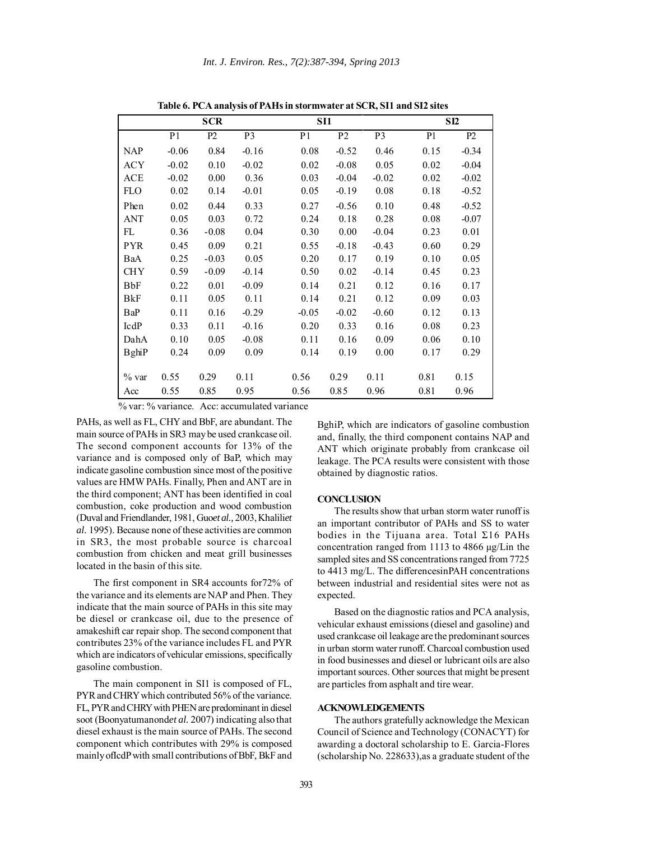|               |                | <b>SCR</b> | SI1            |                |                |                | SI2            |         |
|---------------|----------------|------------|----------------|----------------|----------------|----------------|----------------|---------|
|               | P <sub>1</sub> | P2         | P <sub>3</sub> | P <sub>1</sub> | P <sub>2</sub> | P <sub>3</sub> | P <sub>1</sub> | P2      |
| <b>NAP</b>    | $-0.06$        | 0.84       | $-0.16$        | 0.08           | $-0.52$        | 0.46           | 0.15           | $-0.34$ |
| <b>ACY</b>    | $-0.02$        | 0.10       | $-0.02$        | 0.02           | $-0.08$        | 0.05           | 0.02           | $-0.04$ |
| <b>ACE</b>    | $-0.02$        | 0.00       | 0.36           | 0.03           | $-0.04$        | $-0.02$        | 0.02           | $-0.02$ |
| <b>FLO</b>    | 0.02           | 0.14       | $-0.01$        | 0.05           | $-0.19$        | 0.08           | 0.18           | $-0.52$ |
| Phen          | 0.02           | 0.44       | 0.33           | 0.27           | $-0.56$        | 0.10           | 0.48           | $-0.52$ |
| <b>ANT</b>    | 0.05           | 0.03       | 0.72           | 0.24           | 0.18           | 0.28           | 0.08           | $-0.07$ |
| FL            | 0.36           | $-0.08$    | 0.04           | 0.30           | 0.00           | $-0.04$        | 0.23           | 0.01    |
| <b>PYR</b>    | 0.45           | 0.09       | 0.21           | 0.55           | $-0.18$        | $-0.43$        | 0.60           | 0.29    |
| BaA           | 0.25           | $-0.03$    | 0.05           | 0.20           | 0.17           | 0.19           | 0.10           | 0.05    |
| <b>CHY</b>    | 0.59           | $-0.09$    | $-0.14$        | 0.50           | 0.02           | $-0.14$        | 0.45           | 0.23    |
| <b>BbF</b>    | 0.22           | 0.01       | $-0.09$        | 0.14           | 0.21           | 0.12           | 0.16           | 0.17    |
| BkF           | 0.11           | 0.05       | 0.11           | 0.14           | 0.21           | 0.12           | 0.09           | 0.03    |
| BaP           | 0.11           | 0.16       | $-0.29$        | $-0.05$        | $-0.02$        | $-0.60$        | 0.12           | 0.13    |
| IcdP          | 0.33           | 0.11       | $-0.16$        | 0.20           | 0.33           | 0.16           | 0.08           | 0.23    |
| DahA          | 0.10           | 0.05       | $-0.08$        | 0.11           | 0.16           | 0.09           | 0.06           | 0.10    |
| <b>B</b> ghiP | 0.24           | 0.09       | 0.09           | 0.14           | 0.19           | 0.00           | 0.17           | 0.29    |
|               |                |            |                |                |                |                |                |         |
| % var         | 0.55           | 0.29       | 0.11           | 0.56           | 0.29           | 0.11           | 0.81           | 0.15    |
| Acc           | 0.55           | 0.85       | 0.95           | 0.56           | 0.85           | 0.96           | 0.81           | 0.96    |

**Table 6. PCA analysis of PAHs in stormwater at SCR, SI1 and SI2 sites**

% var: % variance. Acc: accumulated variance

PAHs, as well as FL, CHY and BbF, are abundant. The main source of PAHs in SR3 may be used crankcase oil. The second component accounts for 13% of the variance and is composed only of BaP, which may indicate gasoline combustion since most of the positive values are HMW PAHs. Finally, Phen and ANT are in the third component; ANT has been identified in coal combustion, coke production and wood combustion (Duval and Friendlander, 1981, Guo*et al.,* 2003, Khalili*et al.* 1995). Because none of these activities are common in SR3, the most probable source is charcoal combustion from chicken and meat grill businesses located in the basin of this site.

The first component in SR4 accounts for72% of the variance and its elements are NAP and Phen. They indicate that the main source of PAHs in this site may be diesel or crankcase oil, due to the presence of amakeshift car repair shop. The second component that contributes 23% of the variance includes FL and PYR which are indicators of vehicular emissions, specifically gasoline combustion.

The main component in SI1 is composed of FL, PYR and CHRY which contributed 56% of the variance. FL, PYR and CHRY with PHEN are predominant in diesel soot (Boonyatumanond*et al.* 2007) indicating also that diesel exhaust is the main source of PAHs. The second component which contributes with 29% is composed mainly ofIcdP with small contributions of BbF, BkF and

BghiP, which are indicators of gasoline combustion and, finally, the third component contains NAP and ANT which originate probably from crankcase oil leakage. The PCA results were consistent with those obtained by diagnostic ratios.

#### **CONCLUSION**

The results show that urban storm water runoff is an important contributor of PAHs and SS to water bodies in the Tijuana area. Total Σ16 PAHs concentration ranged from 1113 to 4866 µg/Lin the sampled sites and SS concentrations ranged from 7725 to 4413 mg/L. The differencesinPAH concentrations between industrial and residential sites were not as expected.

Based on the diagnostic ratios and PCA analysis, vehicular exhaust emissions (diesel and gasoline) and used crankcase oil leakage are the predominant sources in urban storm water runoff. Charcoal combustion used in food businesses and diesel or lubricant oils are also important sources. Other sources that might be present are particles from asphalt and tire wear.

## **ACKNOWLEDGEMENTS**

The authors gratefully acknowledge the Mexican Council of Science and Technology (CONACYT) for awarding a doctoral scholarship to E. Garcia-Flores (scholarship No. 228633),as a graduate student of the